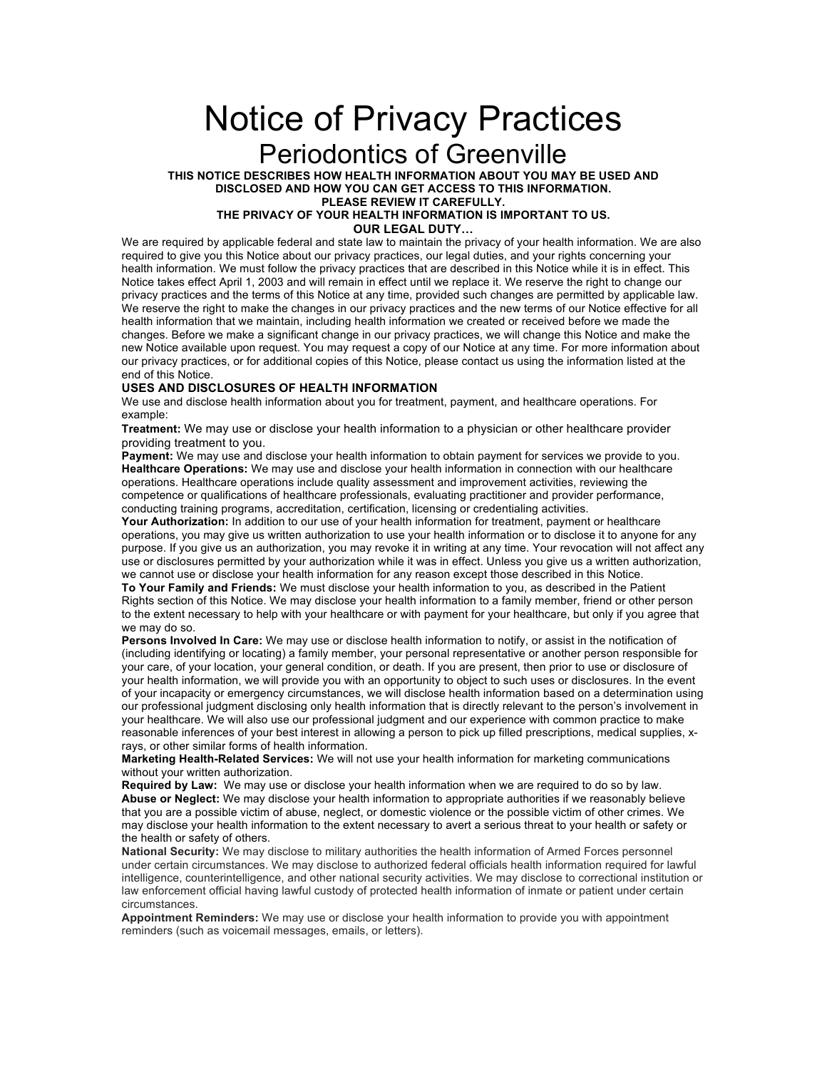## Notice of Privacy Practices Periodontics of Greenville

**THIS NOTICE DESCRIBES HOW HEALTH INFORMATION ABOUT YOU MAY BE USED AND DISCLOSED AND HOW YOU CAN GET ACCESS TO THIS INFORMATION.**

**PLEASE REVIEW IT CAREFULLY. THE PRIVACY OF YOUR HEALTH INFORMATION IS IMPORTANT TO US.**

**OUR LEGAL DUTY…**

We are required by applicable federal and state law to maintain the privacy of your health information. We are also required to give you this Notice about our privacy practices, our legal duties, and your rights concerning your health information. We must follow the privacy practices that are described in this Notice while it is in effect. This Notice takes effect April 1, 2003 and will remain in effect until we replace it. We reserve the right to change our privacy practices and the terms of this Notice at any time, provided such changes are permitted by applicable law. We reserve the right to make the changes in our privacy practices and the new terms of our Notice effective for all health information that we maintain, including health information we created or received before we made the changes. Before we make a significant change in our privacy practices, we will change this Notice and make the new Notice available upon request. You may request a copy of our Notice at any time. For more information about our privacy practices, or for additional copies of this Notice, please contact us using the information listed at the end of this Notice.

## **USES AND DISCLOSURES OF HEALTH INFORMATION**

We use and disclose health information about you for treatment, payment, and healthcare operations. For example:

**Treatment:** We may use or disclose your health information to a physician or other healthcare provider providing treatment to you.

**Payment:** We may use and disclose your health information to obtain payment for services we provide to you. **Healthcare Operations:** We may use and disclose your health information in connection with our healthcare operations. Healthcare operations include quality assessment and improvement activities, reviewing the competence or qualifications of healthcare professionals, evaluating practitioner and provider performance, conducting training programs, accreditation, certification, licensing or credentialing activities.

**Your Authorization:** In addition to our use of your health information for treatment, payment or healthcare operations, you may give us written authorization to use your health information or to disclose it to anyone for any purpose. If you give us an authorization, you may revoke it in writing at any time. Your revocation will not affect any use or disclosures permitted by your authorization while it was in effect. Unless you give us a written authorization, we cannot use or disclose your health information for any reason except those described in this Notice.

**To Your Family and Friends:** We must disclose your health information to you, as described in the Patient Rights section of this Notice. We may disclose your health information to a family member, friend or other person to the extent necessary to help with your healthcare or with payment for your healthcare, but only if you agree that we may do so.

**Persons Involved In Care:** We may use or disclose health information to notify, or assist in the notification of (including identifying or locating) a family member, your personal representative or another person responsible for your care, of your location, your general condition, or death. If you are present, then prior to use or disclosure of your health information, we will provide you with an opportunity to object to such uses or disclosures. In the event of your incapacity or emergency circumstances, we will disclose health information based on a determination using our professional judgment disclosing only health information that is directly relevant to the person's involvement in your healthcare. We will also use our professional judgment and our experience with common practice to make reasonable inferences of your best interest in allowing a person to pick up filled prescriptions, medical supplies, xrays, or other similar forms of health information.

**Marketing Health-Related Services:** We will not use your health information for marketing communications without your written authorization.

**Required by Law:** We may use or disclose your health information when we are required to do so by law. **Abuse or Neglect:** We may disclose your health information to appropriate authorities if we reasonably believe that you are a possible victim of abuse, neglect, or domestic violence or the possible victim of other crimes. We may disclose your health information to the extent necessary to avert a serious threat to your health or safety or the health or safety of others.

**National Security:** We may disclose to military authorities the health information of Armed Forces personnel under certain circumstances. We may disclose to authorized federal officials health information required for lawful intelligence, counterintelligence, and other national security activities. We may disclose to correctional institution or law enforcement official having lawful custody of protected health information of inmate or patient under certain circumstances.

**Appointment Reminders:** We may use or disclose your health information to provide you with appointment reminders (such as voicemail messages, emails, or letters).